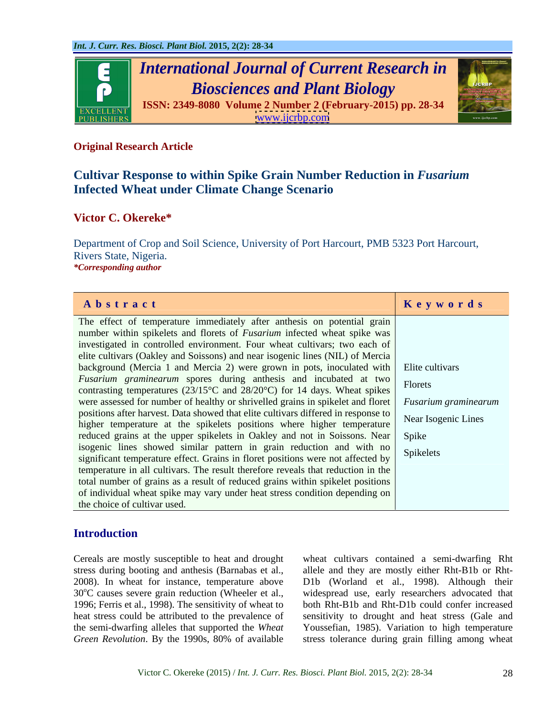

## **Original Research Article**

# **Cultivar Response to within Spike Grain Number Reduction in** *Fusarium* **Infected Wheat under Climate Change Scenario**

## **Victor C. Okereke\***

Department of Crop and Soil Science, University of Port Harcourt, PMB 5323 Port Harcourt, Rivers State, Nigeria. *\*Corresponding author*

| Abstract                                                                                                                                                | Keywords |
|---------------------------------------------------------------------------------------------------------------------------------------------------------|----------|
| The effect of temperature immediately after anthesis on potential grain                                                                                 |          |
| number within spikelets and florets of <i>Fusarium</i> infected wheat spike was                                                                         |          |
| investigated in controlled environment. Four wheat cultivars; two each of                                                                               |          |
| elite cultivars (Oakley and Soissons) and near isogenic lines (NIL) of Mercia                                                                           |          |
| background (Mercia 1 and Mercia 2) were grown in pots, inoculated with $\vert$ Elite cultivars                                                          |          |
| Fusarium graminearum spores during anthesis and incubated at two Florets                                                                                |          |
| contrasting temperatures ( $23/15^{\circ}$ C and $28/20^{\circ}$ C) for 14 days. Wheat spikes                                                           |          |
| were assessed for number of healthy or shrivelled grains in spikelet and floret Fusarium graminearum                                                    |          |
| positions after harvest. Data showed that elite cultivars differed in response to Near Isogenic Lines                                                   |          |
| higher temperature at the spikelets positions where higher temperature                                                                                  |          |
| reduced grains at the upper spikelets in Oakley and not in Soissons. Near Spike                                                                         |          |
|                                                                                                                                                         |          |
| isogenic lines showed similar pattern in grain reduction and with no<br>significant temperature effect. Grains in floret positions were not affected by |          |
| temperature in all cultivars. The result therefore reveals that reduction in the                                                                        |          |
| total number of grains as a result of reduced grains within spikelet positions                                                                          |          |
| of individual wheat spike may vary under heat stress condition depending on                                                                             |          |
| the choice of cultivar used.                                                                                                                            |          |

## **Introduction**

Cereals are mostly susceptible to heat and drought stress during booting and anthesis (Barnabas et al., allele and they are mostly either Rht-B1b or Rht- 2008). In wheat for instance, temperature above D1b (Worland et al., 1998). Although their 30°C causes severe grain reduction (Wheeler et al., widespread use, early researchers advocated that 1996; Ferris et al., 1998). The sensitivity of wheat to heat stress could be attributed to the prevalence of the semi-dwarfing alleles that supported the *Wheat*  Youssefian, 1985). Variation to high temperature Green Revolution. By the 1990s, 80% of available stress tolerance during grain filling among wheat

wheat cultivars contained a semi-dwarfing Rht both Rht-B1b and Rht-D1b could confer increased sensitivity to drought and heat stress (Gale and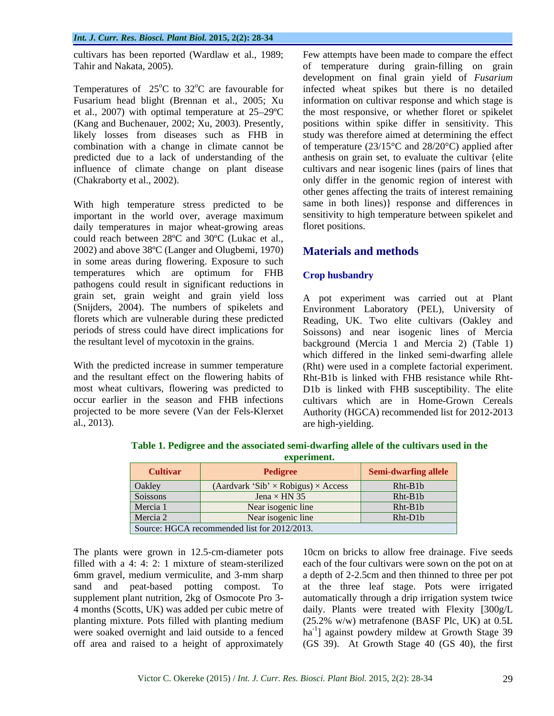With high temperature stress predicted to be important in the world over, average maximum daily temperatures in major wheat-growing areas could reach between 28ºC and 30ºC (Lukac et al.,  $2002$ ) and above  $38^{\circ}$ C (Langer and Olugbemi, 1970) Materials and methods in some areas during flowering. Exposure to such temperatures which are optimum for FHB Crophusbandry pathogens could result in significant reductions in grain set, grain weight and grain yield loss periods of stress could have direct implications for

cultivars has been reported (Wardlaw et al., 1989; Few attempts have been made to compare the effect Tahir and Nakata, 2005). of temperature during grain-filling on grain Temperatures of  $25^{\circ}$ C to  $32^{\circ}$ C are favourable for infected wheat spikes but there is no detailed Fusarium head blight (Brennan et al., 2005; Xu information on cultivar response and which stage is et al., 2007) with optimal temperature at  $25-29^{\circ}\text{C}$  the most responsive, or whether floret or spikelet (Kang and Buchenauer, 2002; Xu, 2003). Presently, positions within spike differ in sensitivity. This likely losses from diseases such as FHB in study was therefore aimed at determining the effect combination with a change in climate cannot be of temperature (23/15°C and 28/20°C) applied after predicted due to a lack of understanding of the anthesis on grain set, to evaluate the cultivar {elite influence of climate change on plant disease cultivars and near isogenic lines (pairs of lines that (Chakraborty et al., 2002). only differ in the genomic region of interest with development on final grain yield of *Fusarium* information on cultivar response and which stage is the most responsive, or whether floret or spikelet other genes affecting the traits of interest remaining same in both lines)} response and differences in sensitivity to high temperature between spikelet and floret positions.

## **Materials and methods**

### **Crop husbandry**

(Snijders, 2004). The numbers of spikelets and Environment Laboratory (PEL), University of florets which are vulnerable during these predicted Reading, UK. Two elite cultivars (Oakley and the resultant level of mycotoxin in the grains. background (Mercia 1 and Mercia2) (Table 1) With the predicted increase in summer temperature (Rht) were used in a complete factorial experiment. and the resultant effect on the flowering habits of Rht-B1b is linked with FHB resistance while Rht most wheat cultivars, flowering was predicted to D1b is linked with FHB susceptibility. The elite occur earlier in the season and FHB infections cultivars which are in Home-Grown Cereals projected to be more severe (Van der Fels-Klerxet Authority (HGCA) recommended list for 2012-2013 al., 2013). are high-yielding. A pot experiment was carried out at Plant Soissons) and near isogenic lines of Mercia which differed in the linked semi-dwarfing allele

| <b>Cultivar</b>                              | Pedigree                                        | Semi-dwarfing allele |
|----------------------------------------------|-------------------------------------------------|----------------------|
| Oakley                                       | $(Aardvark 'Sib' \times Robigus) \times Access$ | Rht-B1b              |
| Soissons                                     | Jena $\times$ HN 35                             | Rht-B1b              |
| Mercia 1                                     | Near isogenic line                              | Rht-B1b              |
| Mercia 2                                     | Near isogenic line                              | Rht-D1b              |
| Source: HGCA recommended list for 2012/2013. |                                                 |                      |

**Table 1. Pedigree and the associated semi-dwarfing allele of the cultivars used in the experiment.**

The plants were grown in 12.5-cm-diameter pots 10cm on bricks to allow free drainage. Five seeds filled with a 4: 4: 2: 1 mixture of steam-sterilized each of the four cultivars were sown on the pot on at 6mm gravel, medium vermiculite, and 3-mm sharp a depth of 2-2.5cm and then thinned to three per pot sand and peat-based potting compost. To at the three leaf stage. Pots were irrigated supplement plant nutrition, 2kg of Osmocote Pro 3- automatically through a drip irrigation system twice 4 months (Scotts, UK) was added per cubic metre of daily. Plants were treated with Flexity [300g/L planting mixture. Pots filled with planting medium (25.2% w/w) metrafenone (BASF Plc, UK) at 0.5L were soaked overnight and laid outside to a fenced ha<sup>-1</sup>] against powdery mildew at Growth Stage 39 off area and raised to a height of approximately (GS 39). At Growth Stage 40 (GS 40), the first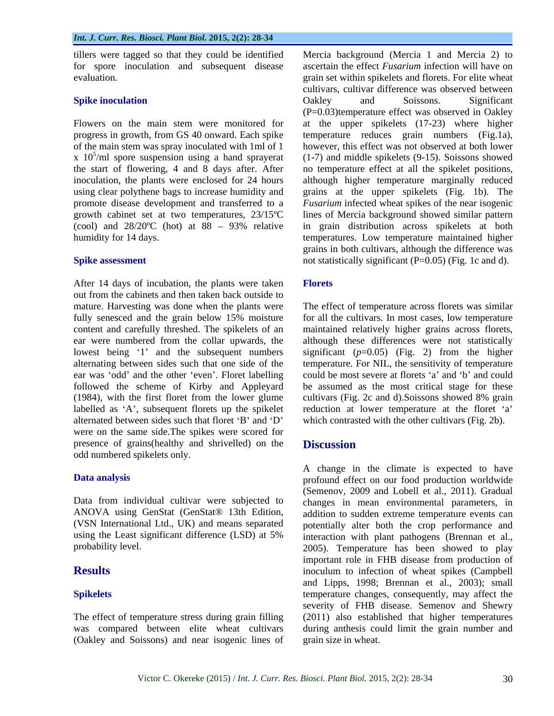tillers were tagged so that they could be identified evaluation.

of the main stem was spray inoculated with 1ml of 1 x  $10^5$ /ml spore suspension using a hand sprayerat

After 14 days of incubation, the plants were taken Florets out from the cabinets and then taken back outside to mature. Harvesting was done when the plants were fully senesced and the grain below 15% moisture content and carefully threshed. The spikelets of an maintained relatively higher grains across florets, ear were numbered from the collar upwards, the although these differences were not statistically lowest being '1' and the subsequent numbers significant  $(p=0.05)$  (Fig. 2) from the higher alternating between sides such that one side of the temperature. For NIL, the sensitivity of temperature ear was 'odd' and the other 'even'. Floret labelling followed the scheme of Kirby and Appleyard (1984), with the first floret from the lower glume cultivars (Fig. 2c and d). Soissons showed 8% grain labelled as 'A', subsequent florets up the spikelet reduction at lower temperature at the floret 'a' alternated between sides such that floret 'B' and 'D' which contrasted with the other cultivars (Fig. 2b). were on the same side.The spikes were scored for presence of grains(healthy and shrivelled) on the **Discussion** odd numbered spikelets only.

(VSN International Ltd., UK) and means separated

(Oakley and Soissons) and near isogenic lines of

for spore inoculation and subsequent disease ascertain the effect *Fusarium* infection will have on **Spike inoculation Spike inculation Spike inculation Spike inculation Spike inculation Spike inculation Spike inculation Spike inculation Spike inculation Spike inculation Spike inculation Spike in th** Flowers on the main stem were monitored for at the upper spikelets (17-23) where higher progress in growth, from GS 40 onward. Each spike temperature reduces grain numbers (Fig.1a), x 10 /ml spore suspension using a hand sprayerat (1-7) and middle spikelets (9-15). Soissons showed the start of flowering, 4 and 8 days after. After no temperature effect at all the spikelet positions, inoculation, the plants were enclosed for 24 hours although higher temperature marginally reduced using clear polythene bags to increase humidity and grains at the upper spikelets (Fig. 1b). The promote disease development and transferred to a *Fusarium* infected wheat spikes of the near isogenic growth cabinet set at two temperatures, 23/15ºC lines of Mercia background showed similar pattern (cool) and  $28/20^{\circ}$ C (hot) at  $88 - 93\%$  relative in grain distribution across spikelets at both humidity for 14 days. temperatures. Low temperature maintained higher **Spike assessment** not statistically significant (P=0.05) (Fig. 1c and d). Mercia background (Mercia 1 and Mercia 2) to grain set within spikelets and florets. For elite wheat cultivars, cultivar difference was observed between Oakley and Soissons. Significant (P=0.03)temperature effect was observed in Oakley however, this effect was not observed at both lower grains in both cultivars, although the difference was

### **Florets**

The effect of temperature across florets was similar for all the cultivars. In most cases, low temperature could be most severe at florets 'a' and 'b' and could be assumed as the most critical stage for these

## **Discussion**

**Data analysis** profound effect on our food production worldwide Data from individual cultivar were subjected to changes in mean environmental parameters, in ANOVA using GenStat (GenStat® 13th Edition, addition to sudden extreme temperature events can using the Least significant difference (LSD) at 5% interaction with plant pathogens (Brennan et al., probability level. 2005). Temperature has been showed to play **Results** inoculum to infection of wheat spikes (Campbell **Spikelets** temperature changes, consequently, may affect the The effect of temperature stress during grain filling (2011) also established that higher temperatures was compared between elite wheat cultivars during anthesis could limit the grain number and A change in the climate is expected to have (Semenov, 2009 and Lobell et al., 2011). Gradual potentially alter both the crop performance and important role in FHB disease from production of and Lipps, 1998; Brennan et al., 2003); small severity of FHB disease. Semenov and Shewry grain size in wheat.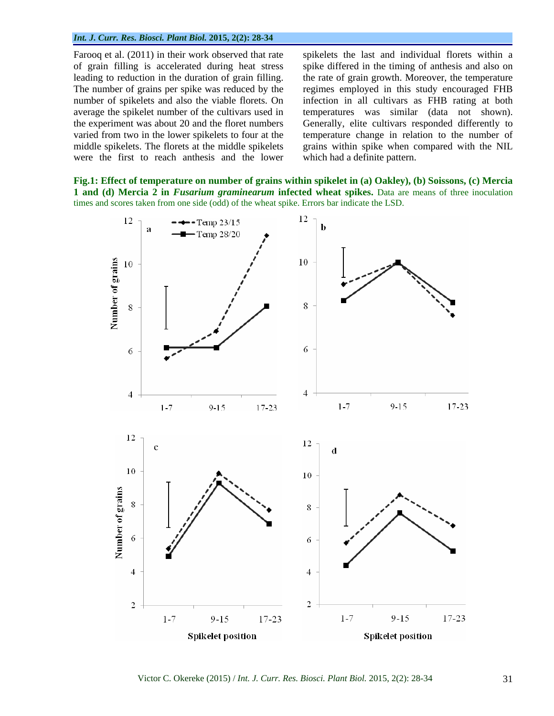### *Int. J. Curr. Res. Biosci. Plant Biol.* **2015, 2(2): 28-34**

Farooq et al. (2011) in their work observed that rate spikelets the last and individual florets within a were the first to reach anthesis and the lower

of grain filling is accelerated during heat stress spike differed in the timing of anthesis and also on leading to reduction in the duration of grain filling. the rate of grain growth. Moreover, the temperature The number of grains per spike was reduced by the regimes employed in this study encouraged FHB number of spikelets and also the viable florets. On infection in all cultivars as FHB rating at both average the spikelet number of the cultivars used in temperatures was similar (data not shown). the experiment was about 20 and the floret numbers Generally, elite cultivars responded differently to varied from two in the lower spikelets to four at the temperature change in relation to the number of middle spikelets. The florets at the middle spikelets grains within spike when compared with the NIL which had a definite pattern.

**Fig.1: Effect of temperature on number of grains within spikelet in (a) Oakley), (b) Soissons, (c) Mercia 1 and (d) Mercia 2 in** *Fusarium graminearum* **infected wheat spikes.** Data are means of three inoculation times and scores taken from one side (odd) of the wheat spike. Errors bar indicate the LSD.

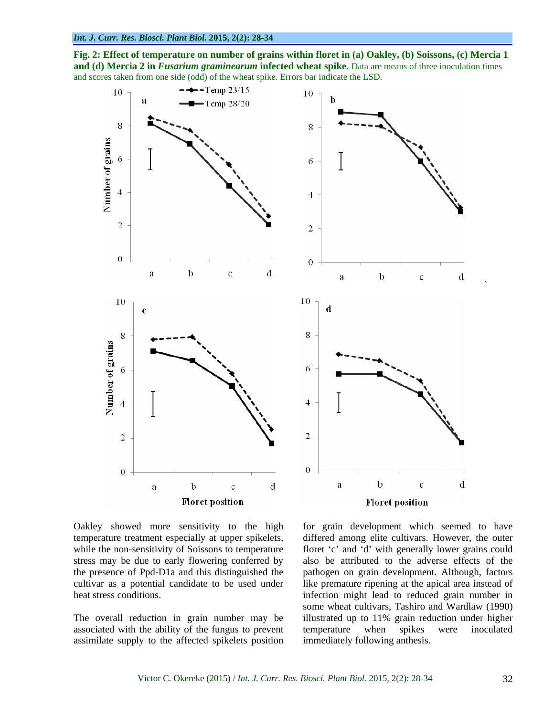**Fig. 2: Effect of temperature on number of grains within floret in (a) Oakley, (b) Soissons, (c) Mercia 1 and (d) Mercia 2 in** *Fusarium graminearum* infected wheat spike. Data are means of three inoculation times and scores taken from one side (odd) of the wheat spike. Errors bar indicate the LSD.





Oakley showed more sensitivity to the high for grain development which seemed to have temperature treatment especially at upper spikelets, differed among elite cultivars. However, the outer while the non-sensitivity of Soissons to temperature floret 'c' and 'd' with generally lower grains could stress may be due to early flowering conferred by also be attributed to the adverse effects of the the presence of Ppd-D1a and this distinguished the pathogen on grain development. Although, factors cultivar as a potential candidate to be used under like premature ripening at the apical area instead of

associated with the ability of the fungus to prevent assimilate supply to the affected spikelets position

heat stress conditions. infection might lead to reduced grain number in The overall reduction in grain number may be illustrated up to 11% grain reduction under higher some wheat cultivars, Tashiro and Wardlaw (1990) temperature when spikes were inoculated immediately following anthesis.

 $\sum_{i=1}^n \frac{1}{i!} \sum_{j=1}^n \frac{1}{j!} \sum_{j=1}^n \frac{1}{j!} \sum_{j=1}^n \frac{1}{j!} \sum_{j=1}^n \frac{1}{j!} \sum_{j=1}^n \frac{1}{j!} \sum_{j=1}^n \frac{1}{j!} \sum_{j=1}^n \frac{1}{j!} \sum_{j=1}^n \frac{1}{j!} \sum_{j=1}^n \frac{1}{j!} \sum_{j=1}^n \frac{1}{j!} \sum_{j=1}^n \frac{1}{j!} \sum_{j=1}^n \frac{1}{j!$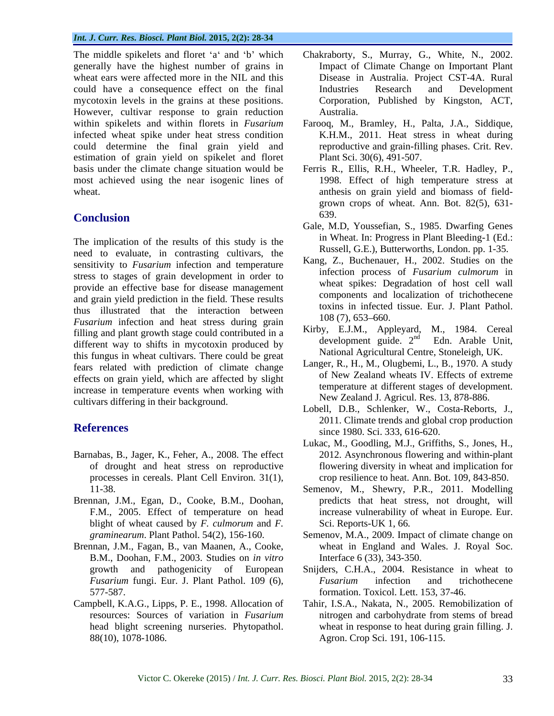generally have the highest number of grains in wheat ears were affected more in the NIL and this could have a consequence effect on the final mycotoxin levels in the grains at these positions. However, cultivar response to grain reduction infected wheat spike under heat stress condition could determine the final grain yield and estimation of grain yield on spikelet and floret most achieved using the near isogenic lines of

The implication of the results of this study is the need to evaluate, in contrasting cultivars, the sensitivity to *Fusarium* infection and temperature stress to stages of grain development in order to provide an effective base for disease management and grain yield prediction in the field. These results thus illustrated that the interaction between  $\frac{108(7)}{653-660}$ . *Fusarium* infection and heat stress during grain filling and plant growth stage could contributed in a<br>different way to objets in mysotopin produced by development guide.  $2^{nd}$  Edn. Arable Unit, different way to shifts in mycotoxin produced by this fungus in wheat cultivars. There could be great fears related with prediction of climate change effects on grain yield, which are affected by slight increase in temperature events when working with cultivars differing in their background.

- Barnabas, B., Jager, K., Feher, A., 2008. The effect processes in cereals. Plant Cell Environ. 31(1),
- Brennan, J.M., Egan, D., Cooke, B.M., Doohan, blight of wheat caused by *F. culmorum* and *F.*
- Brennan, J.M., Fagan, B., van Maanen, A., Cooke, B.M., Doohan, F.M., 2003. Studies on *in vitro* growth and pathogenicity of European
- 
- The middle spikelets and floret 'a' and 'b' which Chakraborty, S., Murray, G., White, N., 2002. Impact of Climate Change on Important Plant Disease in Australia. Project CST-4A. Rural Industries Research and Development Corporation, Published by Kingston, ACT, Australia.
- within spikelets and within florets in *Fusarium* Farooq, M., Bramley, H., Palta, J.A., Siddique, K.H.M., 2011. Heat stress in wheat during reproductive and grain-filling phases. Crit. Rev. Plant Sci. 30(6), 491-507.
- basis under the climate change situation would be Ferris R., Ellis, R.H., Wheeler, T.R. Hadley, P., wheat. anthesis on grain yield and biomass of field- **Conclusion** 639.<br> **Conclusion** 639. 1998. Effect of high temperature stress at grown crops of wheat. Ann. Bot. 82(5), 631- 639.
	- Gale, M.D, Youssefian, S., 1985. Dwarfing Genes in Wheat. In: Progress in Plant Bleeding-1 (Ed.: Russell, G.E.), Butterworths, London. pp. 1-35.
	- Kang, Z., Buchenauer, H., 2002. Studies on the infection process of *Fusarium culmorum* in wheat spikes: Degradation of host cell wall components and localization of trichothecene toxins in infected tissue. Eur. J. Plant Pathol. 108 (7), 653 660.
	- Kirby, E.J.M., Appleyard, M., 1984. Cereal development guide. 2<sup>nd</sup> <sup>nd</sup> Edn. Arable Unit, National Agricultural Centre, Stoneleigh, UK.
	- Langer, R., H., M., Olugbemi, L., B., 1970. A study of New Zealand wheats IV. Effects of extreme temperature at different stages of development. New Zealand J. Agricul. Res. 13, 878-886.
- **References**<br>Since 1980 Sci 333 616-620 Lobell, D.B., Schlenker, W., Costa-Reborts, J., 2011. Climate trends and global crop production since 1980. Sci. 333, 616-620.
	- of drought and heat stress on reproductive flowering diversity in wheat and implication for Lukac, M., Goodling, M.J., Griffiths, S., Jones, H., 2012. Asynchronous flowering and within-plant crop resilience to heat. Ann. Bot. 109, 843-850.
	- 11-38. Semenov, M., Shewry, P.R., 2011. Modelling F.M., 2005. Effect of temperature on head increase vulnerability of wheat in Europe. Eur. predicts that heat stress, not drought, will Sci. Reports-UK 1, 66*.*
	- *graminearum*. Plant Pathol. 54(2), 156-160. Semenov, M.A., 2009. Impact of climate change on wheat in England and Wales. J. Royal Soc. Interface 6 (33), 343-350.
	- *Fusarium* fungi. Eur. J. Plant Pathol. 109 (6), 577-587. formation. Toxicol. Lett. 153, 37-46. Snijders, C.H.A., 2004. Resistance in wheat to *Fusarium* infection and trichothecene
- Campbell, K.A.G., Lipps, P. E., 1998. Allocation of Tahir, I.S.A., Nakata, N., 2005. Remobilization of resources: Sources of variation in *Fusarium* nitrogen and carbohydrate from stems of bread head blight screening nurseries. Phytopathol. wheat in response to heat during grain filling. J. 88(10), 1078-1086. Agron. Crop Sci. 191, 106-115.